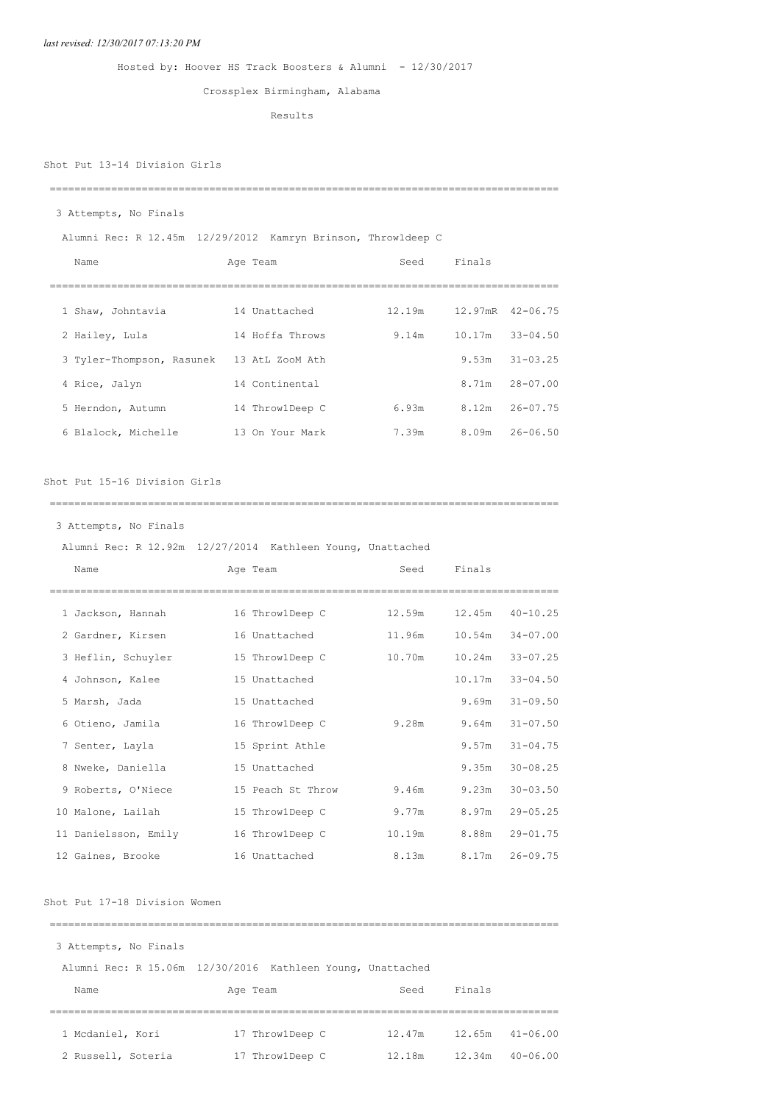### *last revised: 12/30/2017 07:13:20 PM*

# Hosted by: Hoover HS Track Boosters & Alumni - 12/30/2017

# Crossplex Birmingham, Alabama

Results

# Shot Put 13-14 Division Girls

#### ===================================================================================

# 3 Attempts, No Finals

Alumni Rec: R 12.45m 12/29/2012 Kamryn Brinson, Throw1deep C

| Name                      | Age Team        | Seed   | Finals |                         |
|---------------------------|-----------------|--------|--------|-------------------------|
|                           |                 |        |        |                         |
| 1 Shaw, Johntavia         | 14 Unattached   | 12.19m |        | $12.97$ mR $42 - 06.75$ |
| 2 Hailey, Lula            | 14 Hoffa Throws | 9.14m  | 10.17m | $33 - 04.50$            |
| 3 Tyler-Thompson, Rasunek | 13 AtL ZooM Ath |        | 9.53m  | $31 - 03.25$            |
| 4 Rice, Jalyn             | 14 Continental  |        | 8.71m  | $28 - 07.00$            |
| 5 Herndon, Autumn         | 14 ThrowlDeep C | 6.93m  | 8.12m  | $26 - 07.75$            |
| 6 Blalock, Michelle       | 13 On Your Mark | 7.39m  | 8.09m  | $26 - 06.50$            |

### Shot Put 15-16 Division Girls

===================================================================================

### 3 Attempts, No Finals

|                      | Alumni Rec: R 12.92m 12/27/2014 Kathleen Young, Unattached |        |             |                     |
|----------------------|------------------------------------------------------------|--------|-------------|---------------------|
| Name                 | Age Team                                                   |        | Seed Finals |                     |
|                      | -----------                                                |        |             |                     |
| 1 Jackson, Hannah    | 16 ThrowlDeep C                                            | 12.59m |             | $12.45m$ $40-10.25$ |
| 2 Gardner, Kirsen    | 16 Unattached                                              | 11.96m |             | $10.54m$ $34-07.00$ |
| 3 Heflin, Schuyler   | 15 ThrowlDeep C                                            | 10.70m | 10.24m      | $33 - 07.25$        |
| 4 Johnson, Kalee     | 15 Unattached                                              |        | 10.17m      | $33 - 04.50$        |
| 5 Marsh, Jada        | 15 Unattached                                              |        | 9.69m       | $31 - 09.50$        |
| 6 Otieno, Jamila     | 16 ThrowlDeep C                                            | 9.28m  | 9.64m       | $31 - 07.50$        |
| 7 Senter, Layla      | 15 Sprint Athle                                            |        | 9.57m       | $31 - 04.75$        |
| 8 Nweke, Daniella    | 15 Unattached                                              |        | 9.35m       | $30 - 08.25$        |
| 9 Roberts, O'Niece   | 15 Peach St Throw                                          | 9.46m  | 9.23m       | $30 - 03.50$        |
| 10 Malone, Lailah    | 15 ThrowlDeep C                                            | 9.77m  | 8.97m       | $29 - 05.25$        |
| 11 Danielsson, Emily | 16 Throw1Deep C                                            | 10.19m |             | 8.88m 29-01.75      |
| 12 Gaines, Brooke    | 16 Unattached                                              | 8.13m  | 8.17m       | $26 - 09.75$        |

### Shot Put 17-18 Division Women

| 3 Attempts, No Finals |                                                            |        |        |                     |  |  |  |  |
|-----------------------|------------------------------------------------------------|--------|--------|---------------------|--|--|--|--|
|                       | Alumni Rec: R 15.06m 12/30/2016 Kathleen Young, Unattached |        |        |                     |  |  |  |  |
| Name                  | Age Team                                                   | Seed   | Finals |                     |  |  |  |  |
|                       |                                                            |        |        |                     |  |  |  |  |
| 1 Mcdaniel, Kori      | 17 ThrowlDeep C                                            | 12.47m |        | $12.65m$ $41-06.00$ |  |  |  |  |
| 2 Russell, Soteria    | 17 ThrowlDeep C                                            | 12.18m | 12.34m | $40 - 06.00$        |  |  |  |  |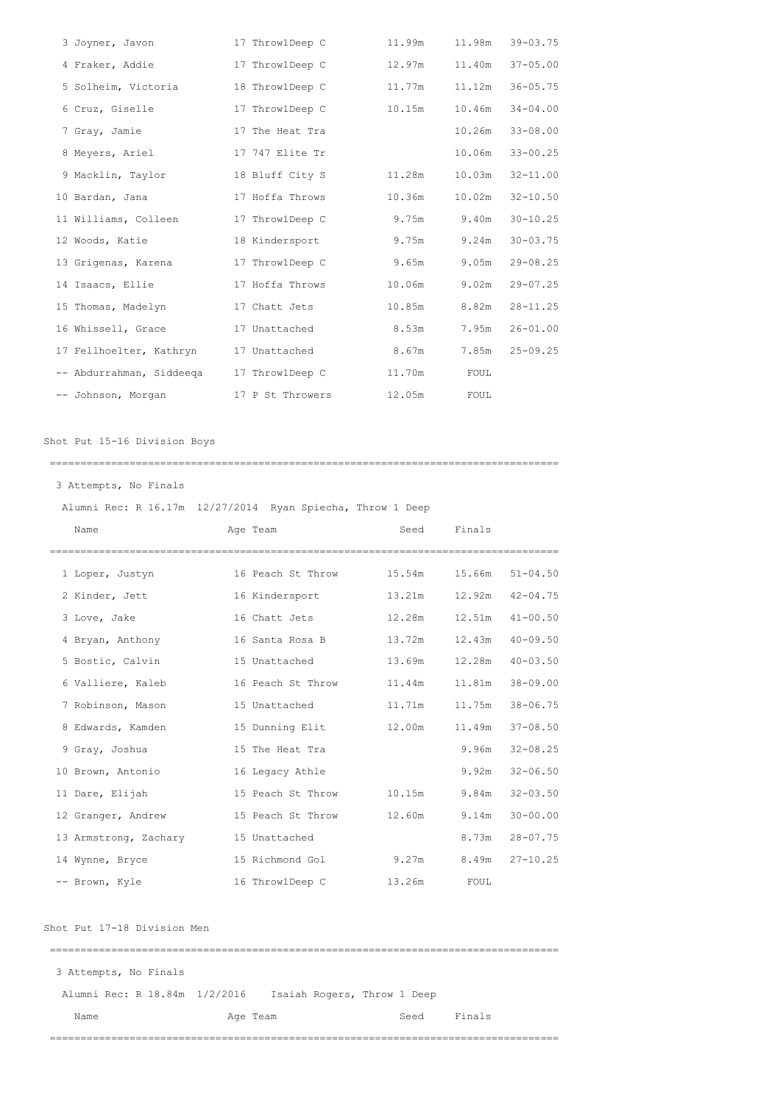| 3 Joyner, Javon          | 17 ThrowlDeep C  | 11.99m | 11.98m | $39 - 03.75$ |
|--------------------------|------------------|--------|--------|--------------|
| 4 Fraker, Addie          | 17 ThrowlDeep C  | 12.97m | 11.40m | $37 - 05.00$ |
| 5 Solheim, Victoria      | 18 ThrowlDeep C  | 11.77m | 11.12m | $36 - 05.75$ |
| 6 Cruz, Giselle          | 17 ThrowlDeep C  | 10.15m | 10.46m | $34 - 04.00$ |
| 7 Gray, Jamie            | 17 The Heat Tra  |        | 10.26m | $33 - 08.00$ |
| 8 Meyers, Ariel          | 17 747 Elite Tr  |        | 10.06m | $33 - 00.25$ |
| 9 Macklin, Taylor        | 18 Bluff City S  | 11.28m | 10.03m | $32 - 11.00$ |
| 10 Bardan, Jana          | 17 Hoffa Throws  | 10.36m | 10.02m | $32 - 10.50$ |
| 11 Williams, Colleen     | 17 ThrowlDeep C  | 9.75m  | 9.40m  | $30 - 10.25$ |
| 12 Woods, Katie          | 18 Kindersport   | 9.75m  | 9.24m  | $30 - 03.75$ |
| 13 Grigenas, Karena      | 17 ThrowlDeep C  | 9.65m  | 9.05m  | $29 - 08.25$ |
| 14 Isaacs, Ellie         | 17 Hoffa Throws  | 10.06m | 9.02m  | $29 - 07.25$ |
| 15 Thomas, Madelyn       | 17 Chatt Jets    | 10.85m | 8.82m  | $28 - 11.25$ |
| 16 Whissell, Grace       | 17 Unattached    | 8.53m  | 7.95m  | $26 - 01.00$ |
| 17 Fellhoelter, Kathryn  | 17 Unattached    | 8.67m  | 7.85m  | $25 - 09.25$ |
| -- Abdurrahman, Siddeega | 17 ThrowlDeep C  | 11.70m | FOUL   |              |
| -- Johnson, Morgan       | 17 P St Throwers | 12.05m | FOUL   |              |

Shot Put 15-16 Division Boys

===================================================================================

Attempts, No Finals

Alumni Rec: R 16.17m 12/27/2014 Ryan Spiecha, Throw 1 Deep

| Name                  | Age Team          | Seed   | Finals      |              |
|-----------------------|-------------------|--------|-------------|--------------|
| 1 Loper, Justyn       | 16 Peach St Throw | 15.54m | 15.66m      | $51 - 04.50$ |
| 2 Kinder, Jett        | 16 Kindersport    | 13.21m | 12.92m      | $42 - 04.75$ |
| 3 Love, Jake          | 16 Chatt Jets     | 12.28m | 12.51m      | $41 - 00.50$ |
| 4 Bryan, Anthony      | 16 Santa Rosa B   | 13.72m | 12.43m      | $40 - 09.50$ |
| 5 Bostic, Calvin      | 15 Unattached     | 13.69m | 12.28m      | $40 - 03.50$ |
| 6 Valliere, Kaleb     | 16 Peach St Throw | 11.44m | 11.81m      | $38 - 09.00$ |
| 7 Robinson, Mason     | 15 Unattached     | 11.71m | 11.75m      | $38 - 06.75$ |
| 8 Edwards, Kamden     | 15 Dunning Elit   | 12.00m | 11.49m      | $37 - 08.50$ |
| 9 Gray, Joshua        | 15 The Heat Tra   |        | 9.96m       | $32 - 08.25$ |
| 10 Brown, Antonio     | 16 Legacy Athle   |        | 9.92m       | $32 - 06.50$ |
| 11 Dare, Elijah       | 15 Peach St Throw | 10.15m | 9.84m       | $32 - 03.50$ |
| 12 Granger, Andrew    | 15 Peach St Throw | 12.60m | 9.14m       | $30 - 00.00$ |
| 13 Armstrong, Zachary | 15 Unattached     |        | 8.73m       | $28 - 07.75$ |
| 14 Wynne, Bryce       | 15 Richmond Gol   | 9.27m  | 8.49m       | $27 - 10.25$ |
| -- Brown, Kyle        | 16 ThrowlDeep C   | 13.26m | <b>FOUL</b> |              |

Shot Put 17-18 Division Men

| 3 Attempts, No Finals         |                             |      |        |
|-------------------------------|-----------------------------|------|--------|
| Alumni Rec: R 18.84m 1/2/2016 | Isaiah Rogers, Throw 1 Deep |      |        |
| Name                          | Age Team                    | Seed | Finals |

===================================================================================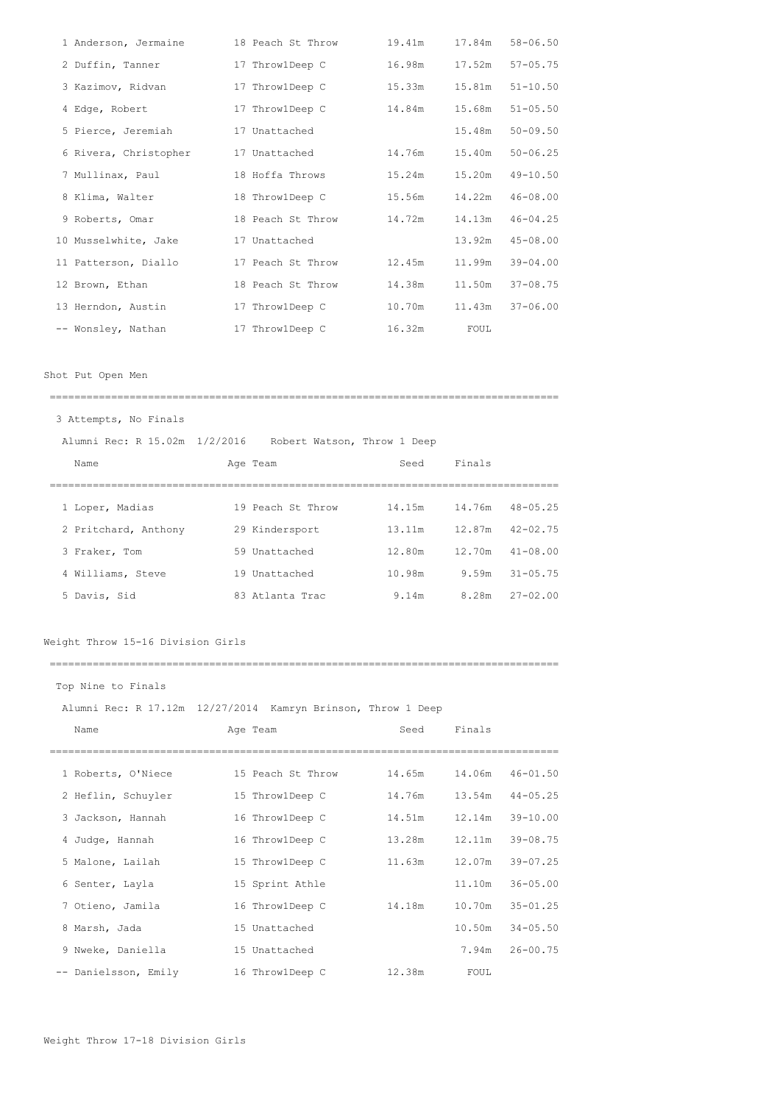| 1 Anderson, Jermaine  | 18 Peach St Throw | 19.41m | 17.84m | $58 - 06.50$ |
|-----------------------|-------------------|--------|--------|--------------|
| 2 Duffin, Tanner      | 17 ThrowlDeep C   | 16.98m | 17.52m | $57 - 05.75$ |
| 3 Kazimov, Ridvan     | 17 ThrowlDeep C   | 15.33m | 15.81m | $51 - 10.50$ |
| 4 Edge, Robert        | 17 ThrowlDeep C   | 14.84m | 15.68m | $51 - 05.50$ |
| 5 Pierce, Jeremiah    | 17 Unattached     |        | 15.48m | $50 - 09.50$ |
| 6 Rivera, Christopher | 17 Unattached     | 14.76m | 15.40m | $50 - 06.25$ |
| 7 Mullinax, Paul      | 18 Hoffa Throws   | 15.24m | 15.20m | $49 - 10.50$ |
| 8 Klima, Walter       | 18 ThrowlDeep C   | 15.56m | 14.22m | $46 - 08.00$ |
| 9 Roberts, Omar       | 18 Peach St Throw | 14.72m | 14.13m | $46 - 04.25$ |
| 10 Musselwhite, Jake  | 17 Unattached     |        | 13.92m | $45 - 08.00$ |
| 11 Patterson, Diallo  | 17 Peach St Throw | 12.45m | 11.99m | $39 - 04.00$ |
| 12 Brown, Ethan       | 18 Peach St Throw | 14.38m | 11.50m | $37 - 08.75$ |
| 13 Herndon, Austin    | 17 ThrowlDeep C   | 10.70m | 11.43m | $37 - 06.00$ |
| -- Wonsley, Nathan    | 17 ThrowlDeep C   | 16.32m | FOUL   |              |

Shot Put Open Men

| 3 Attempts, No Finals         |                             |        |        |                     |
|-------------------------------|-----------------------------|--------|--------|---------------------|
| Alumni Rec: R 15.02m 1/2/2016 | Robert Watson, Throw 1 Deep |        |        |                     |
| Name                          | Age Team                    | Seed   | Finals |                     |
|                               |                             |        |        |                     |
| 1 Loper, Madias               | 19 Peach St Throw           | 14.15m | 14.76m | $48 - 05.25$        |
| 2 Pritchard, Anthony          | 29 Kindersport              | 13.11m |        | $12.87m$ $42-02.75$ |
| 3 Fraker, Tom                 | 59 Unattached               | 12.80m | 12.70m | $41 - 08.00$        |
| 4 Williams, Steve             | 19 Unattached               | 10.98m |        | $9.59m$ $31-0.5.75$ |
| 5 Davis, Sid                  | 83 Atlanta Trac             | 9.14m  |        | $8.28m$ $27-02.00$  |
|                               |                             |        |        |                     |

===================================================================================

Weight Throw 15-16 Division Girls

Top Nine to Finals Alumni Rec: R 17.12m 12/27/2014 Kamryn Brinson, Throw 1 Deep Name Age Team Seed Finals =================================================================================== Roberts, O'Niece 15 Peach St Throw 14.65m 14.06m 46-01.50 Heflin, Schuyler 15 Throw1Deep C 14.76m 13.54m 44-05.25 Jackson, Hannah 16 Throw1Deep C 14.51m 12.14m 39-10.00 Judge, Hannah 16 Throw1Deep C 13.28m 12.11m 39-08.75 Malone, Lailah 15 Throw1Deep C 11.63m 12.07m 39-07.25 Senter, Layla 15 Sprint Athle 11.10m 36-05.00 Otieno, Jamila 16 Throw1Deep C 14.18m 10.70m 35-01.25 Marsh, Jada 15 Unattached 10.50m 34-05.50 Nweke, Daniella 15 Unattached 7.94m 26-00.75 -- Danielsson, Emily 16 Throw1Deep C 12.38m FOUL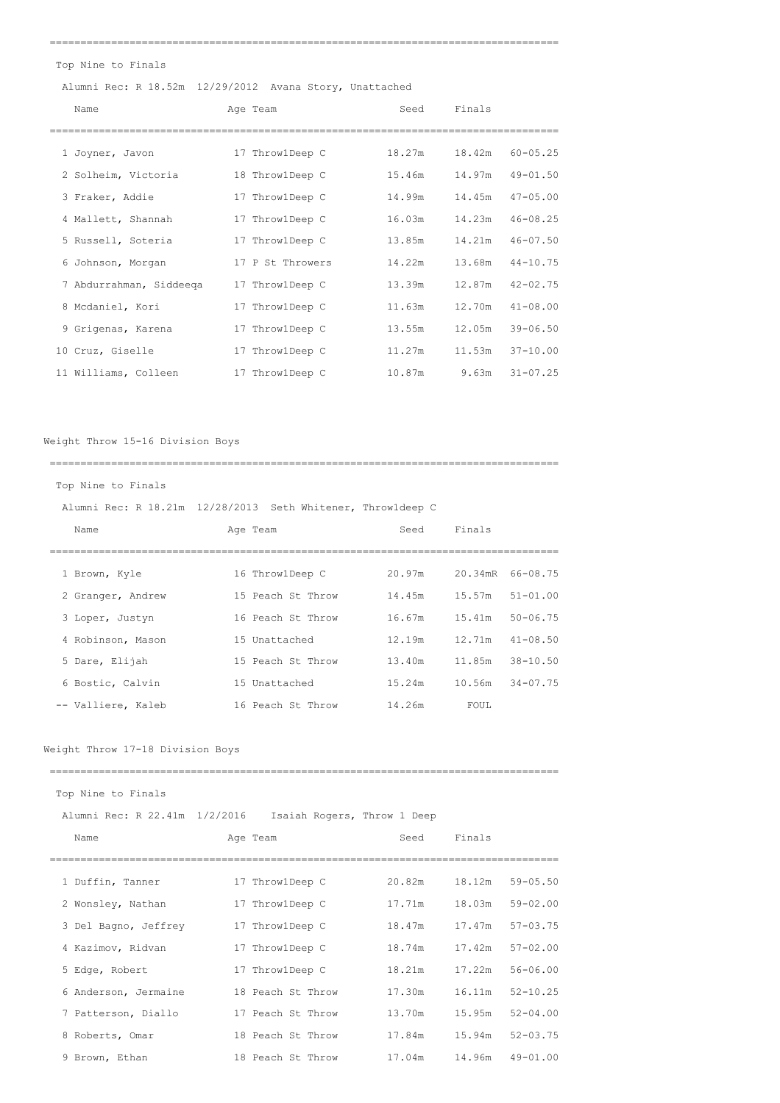===================================================================================

Top Nine to Finals

# Alumni Rec: R 18.52m 12/29/2012 Avana Story, Unattached

| Name                    | Age Team         | Seed   | Finals                 |
|-------------------------|------------------|--------|------------------------|
|                         |                  |        |                        |
| 1 Joyner, Javon         | 17 ThrowlDeep C  | 18.27m | 18.42m<br>$60 - 05.25$ |
| 2 Solheim, Victoria     | 18 ThrowlDeep C  | 15.46m | 14.97m<br>$49 - 01.50$ |
| 3 Fraker, Addie         | 17 ThrowlDeep C  | 14.99m | $47 - 05.00$<br>14.45m |
| 4 Mallett, Shannah      | 17 ThrowlDeep C  | 16.03m | 14.23m<br>$46 - 08.25$ |
| 5 Russell, Soteria      | 17 ThrowlDeep C  | 13.85m | $46 - 07.50$<br>14.21m |
| 6 Johnson, Morgan       | 17 P St Throwers | 14.22m | $44 - 10.75$<br>13.68m |
| 7 Abdurrahman, Siddeeqa | 17 ThrowlDeep C  | 13.39m | 12.87m<br>$42 - 02.75$ |
| 8 Mcdaniel, Kori        | 17 ThrowlDeep C  | 11.63m | 12.70m<br>$41 - 08.00$ |
| 9 Grigenas, Karena      | 17 ThrowlDeep C  | 13.55m | $39 - 06.50$<br>12.05m |
| 10 Cruz, Giselle        | 17 ThrowlDeep C  | 11.27m | 11.53m<br>$37 - 10.00$ |
| 11 Williams, Colleen    | 17 ThrowlDeep C  | 10.87m | $31 - 07.25$<br>9.63m  |

Weight Throw 15-16 Division Boys

| Top Nine to Finals |                                                             |        |        |                     |  |  |  |  |  |
|--------------------|-------------------------------------------------------------|--------|--------|---------------------|--|--|--|--|--|
|                    | Alumni Rec: R 18.21m 12/28/2013 Seth Whitener, Throwldeep C |        |        |                     |  |  |  |  |  |
| Name               | Age Team                                                    | Seed   | Finals |                     |  |  |  |  |  |
|                    |                                                             |        |        |                     |  |  |  |  |  |
| 1 Brown, Kyle      | 16 ThrowlDeep C                                             | 20.97m |        | 20.34mR 66-08.75    |  |  |  |  |  |
| 2 Granger, Andrew  | 15 Peach St Throw                                           | 14.45m |        | $15.57m$ $51-01.00$ |  |  |  |  |  |
| 3 Loper, Justyn    | 16 Peach St Throw                                           | 16.67m |        | $15.41m$ $50-06.75$ |  |  |  |  |  |
| 4 Robinson, Mason  | 15 Unattached                                               | 12.19m |        | $12.71m$ $41-08.50$ |  |  |  |  |  |
| 5 Dare, Elijah     | 15 Peach St Throw                                           | 13.40m |        | 11.85m 38-10.50     |  |  |  |  |  |
| 6 Bostic, Calvin   | 15 Unattached                                               | 15.24m |        | $10.56m$ $34-07.75$ |  |  |  |  |  |
| -- Valliere, Kaleb | 16 Peach St Throw                                           | 14.26m | FOUL.  |                     |  |  |  |  |  |
|                    |                                                             |        |        |                     |  |  |  |  |  |

# Weight Throw 17-18 Division Boys

| Top Nine to Finals            |  |                             |        |        |              |  |  |
|-------------------------------|--|-----------------------------|--------|--------|--------------|--|--|
| Alumni Rec: R 22.41m 1/2/2016 |  | Isaiah Rogers, Throw 1 Deep |        |        |              |  |  |
| Name                          |  | Age Team                    | Seed   | Finals |              |  |  |
|                               |  |                             |        |        |              |  |  |
| 1 Duffin, Tanner              |  | 17 ThrowlDeep C             | 20.82m | 18.12m | $59 - 05.50$ |  |  |
| 2 Wonsley, Nathan             |  | 17 ThrowlDeep C             | 17.71m | 18.03m | 59-02.00     |  |  |
| 3 Del Bagno, Jeffrey          |  | 17 ThrowlDeep C             | 18.47m | 17.47m | $57 - 03.75$ |  |  |
| 4 Kazimov, Ridvan             |  | 17 ThrowlDeep C             | 18.74m | 17.42m | $57 - 02.00$ |  |  |
| 5 Edge, Robert                |  | 17 ThrowlDeep C             | 18.21m | 17.22m | $56 - 06.00$ |  |  |
| 6 Anderson, Jermaine          |  | 18 Peach St Throw           | 17.30m | 16.11m | $52 - 10.25$ |  |  |
| 7 Patterson, Diallo           |  | 17 Peach St Throw           | 13.70m | 15.95m | $52 - 04.00$ |  |  |
| 8 Roberts, Omar               |  | 18 Peach St Throw           | 17.84m | 15.94m | $52 - 03.75$ |  |  |
| 9 Brown, Ethan                |  | 18 Peach St. Throw          | 17.04m | 14.96m | $49 - 01.00$ |  |  |